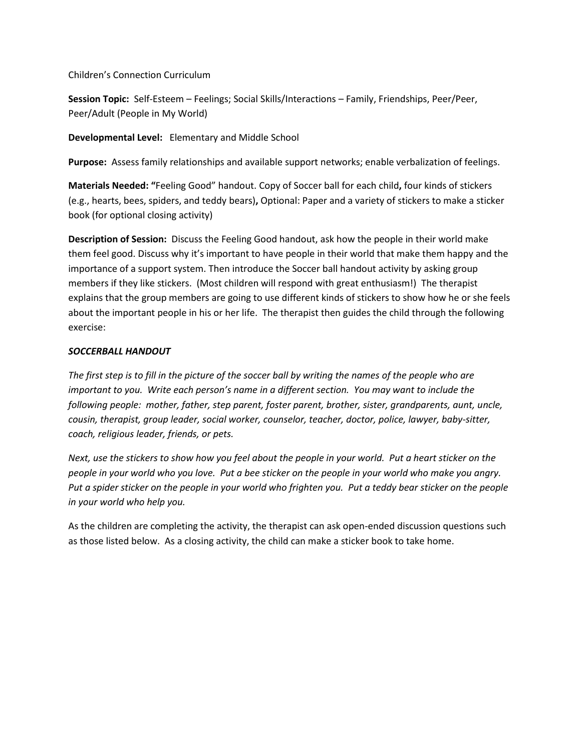Children's Connection Curriculum

**Session Topic:** Self-Esteem – Feelings; Social Skills/Interactions – Family, Friendships, Peer/Peer, Peer/Adult (People in My World)

**Developmental Level:** Elementary and Middle School

**Purpose:** Assess family relationships and available support networks; enable verbalization of feelings.

**Materials Needed: "**Feeling Good" handout. Copy of Soccer ball for each child**,** four kinds of stickers (e.g., hearts, bees, spiders, and teddy bears)**,** Optional: Paper and a variety of stickers to make a sticker book (for optional closing activity)

**Description of Session:** Discuss the Feeling Good handout, ask how the people in their world make them feel good. Discuss why it's important to have people in their world that make them happy and the importance of a support system. Then introduce the Soccer ball handout activity by asking group members if they like stickers. (Most children will respond with great enthusiasm!) The therapist explains that the group members are going to use different kinds of stickers to show how he or she feels about the important people in his or her life. The therapist then guides the child through the following exercise:

## *SOCCERBALL HANDOUT*

*The first step is to fill in the picture of the soccer ball by writing the names of the people who are important to you. Write each person's name in a different section. You may want to include the following people: mother, father, step parent, foster parent, brother, sister, grandparents, aunt, uncle, cousin, therapist, group leader, social worker, counselor, teacher, doctor, police, lawyer, baby-sitter, coach, religious leader, friends, or pets.*

*Next, use the stickers to show how you feel about the people in your world. Put a heart sticker on the people in your world who you love. Put a bee sticker on the people in your world who make you angry. Put a spider sticker on the people in your world who frighten you. Put a teddy bear sticker on the people in your world who help you.*

As the children are completing the activity, the therapist can ask open-ended discussion questions such as those listed below. As a closing activity, the child can make a sticker book to take home.